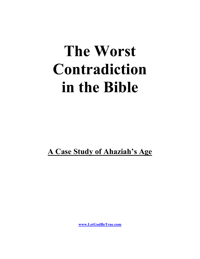# **The Worst Contradiction in the Bible**

**A Case Study of Ahaziah's Age**

**[www.LetGodBeTrue.com](http://www.letgodbetrue.com/)**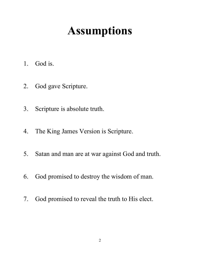## **Assumptions**

- 1. God is.
- 2. God gave Scripture.
- 3. Scripture is absolute truth.
- 4. The King James Version is Scripture.
- 5. Satan and man are at war against God and truth.
- 6. God promised to destroy the wisdom of man.
- 7. God promised to reveal the truth to His elect.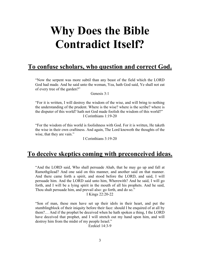#### **Why Does the Bible Contradict Itself?**

#### **To confuse scholars, who question and correct God.**

"Now the serpent was more subtil than any beast of the field which the LORD God had made. And he said unto the woman, Yea, hath God said, Ye shall not eat of every tree of the garden?"

Genesis 3:1

"For it is written, I will destroy the wisdom of the wise, and will bring to nothing the understanding of the prudent. Where is the wise? where is the scribe? where is the disputer of this world? hath not God made foolish the wisdom of this world?" I Corinthians 1:19-20

"For the wisdom of this world is foolishness with God. For it is written, He taketh the wise in their own craftiness. And again, The Lord knoweth the thoughts of the wise, that they are vain."

I Corinthians 3:19-20

#### **To deceive skeptics coming with preconceived ideas.**

"And the LORD said, Who shall persuade Ahab, that he may go up and fall at Ramothgilead? And one said on this manner, and another said on that manner. And there came forth a spirit, and stood before the LORD, and said, I will persuade him. And the LORD said unto him, Wherewith? And he said, I will go forth, and I will be a lying spirit in the mouth of all his prophets. And he said, Thou shalt persuade him, and prevail also: go forth, and do so."

I Kings 22:20-22

"Son of man, these men have set up their idols in their heart, and put the stumblingblock of their iniquity before their face: should I be enquired of at all by them?… And if the prophet be deceived when he hath spoken a thing, I the LORD have deceived that prophet, and I will stretch out my hand upon him, and will destroy him from the midst of my people Israel."

Ezekiel 14:3-9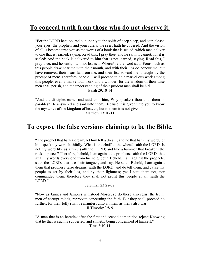#### **To conceal truth from those who do not deserve it.**

"For the LORD hath poured out upon you the spirit of deep sleep, and hath closed your eyes: the prophets and your rulers, the seers hath he covered. And the vision of all is become unto you as the words of a book that is sealed, which men deliver to one that is learned, saying, Read this, I pray thee: and he saith, I cannot; for it is sealed: And the book is delivered to him that is not learned, saying, Read this, I pray thee: and he saith, I am not learned. Wherefore the Lord said, Forasmuch as this people draw near me with their mouth, and with their lips do honour me, but have removed their heart far from me, and their fear toward me is taught by the precept of men: Therefore, behold, I will proceed to do a marvellous work among this people, even a marvellous work and a wonder: for the wisdom of their wise men shall perish, and the understanding of their prudent men shall be hid."

Isaiah 29:10-14

"And the disciples came, and said unto him, Why speakest thou unto them in parables? He answered and said unto them, Because it is given unto you to know the mysteries of the kingdom of heaven, but to them it is not given."

Matthew 13:10-11

#### **To expose the false versions claiming to be the Bible.**

"The prophet that hath a dream, let him tell a dream; and he that hath my word, let him speak my word faithfully. What is the chaff to the wheat? saith the LORD. Is not my word like as a fire? saith the LORD; and like a hammer that breaketh the rock in pieces? Therefore, behold, I am against the prophets, saith the LORD, that steal my words every one from his neighbour. Behold, I am against the prophets, saith the LORD, that use their tongues, and say, He saith. Behold, I am against them that prophesy false dreams, saith the LORD, and do tell them, and cause my people to err by their lies, and by their lightness; yet I sent them not, nor commanded them: therefore they shall not profit this people at all, saith the LORD."

Jeremiah 23:28-32

"Now as Jannes and Jambres withstood Moses, so do these also resist the truth: men of corrupt minds, reprobate concerning the faith. But they shall proceed no further: for their folly shall be manifest unto all men, as theirs also was." II Timothy 3:8-9

"A man that is an heretick after the first and second admonition reject; Knowing that he that is such is subverted, and sinneth, being condemned of himself." Titus 3:10-11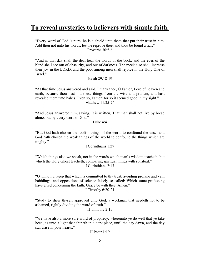#### **To reveal mysteries to believers with simple faith.**

"Every word of God is pure: he is a shield unto them that put their trust in him. Add thou not unto his words, lest he reprove thee, and thou be found a liar." Proverbs 30:5-6

"And in that day shall the deaf hear the words of the book, and the eyes of the blind shall see out of obscurity, and out of darkness. The meek also shall increase their joy in the LORD, and the poor among men shall rejoice in the Holy One of Israel."

Isaiah 29:18-19

"At that time Jesus answered and said, I thank thee, O Father, Lord of heaven and earth, because thou hast hid these things from the wise and prudent, and hast revealed them unto babes. Even so, Father: for so it seemed good in thy sight." Matthew 11:25-26

"And Jesus answered him, saying, It is written, That man shall not live by bread alone, but by every word of God."

Luke 4:4

"But God hath chosen the foolish things of the world to confound the wise; and God hath chosen the weak things of the world to confound the things which are mighty."

I Corinthians 1:27

"Which things also we speak, not in the words which man's wisdom teacheth, but which the Holy Ghost teacheth; comparing spiritual things with spiritual." I Corinthians 2:13

"O Timothy, keep that which is committed to thy trust, avoiding profane and vain babblings, and oppositions of science falsely so called: Which some professing have erred concerning the faith. Grace be with thee. Amen."

I Timothy 6:20-21

"Study to shew thyself approved unto God, a workman that needeth not to be ashamed, rightly dividing the word of truth."

II Timothy 2:15

"We have also a more sure word of prophecy; whereunto ye do well that ye take heed, as unto a light that shineth in a dark place, until the day dawn, and the day star arise in your hearts:"

II Peter 1:19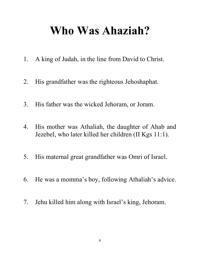#### **Who Was Ahaziah?**

- 1. A king of Judah, in the line from David to Christ.
- 2. His grandfather was the righteous Jehoshaphat.
- 3. His father was the wicked Jehoram, or Joram.
- 4. His mother was Athaliah, the daughter of Ahab and Jezebel, who later killed her children (II Kgs 11:1).
- 5. His maternal great grandfather was Omri of Israel.
- 6. He was a momma's boy, following Athaliah's advice.
- 7. Jehu killed him along with Israel's king, Jehoram.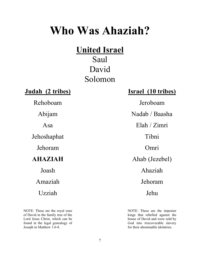#### **Who Was Ahaziah?**

#### **United Israel**

Saul David Solomon

Jehoshaphat Tibni

NOTE: These are the royal sons of David in the family tree of the Lord Jesus Christ, which can be found in the legal genealogy of Joseph in Matthew 1:6-8.

#### **Judah (2 tribes) Israel (10 tribes)**

Rehoboam Jeroboam Abijam Nadab / Baasha Asa Elah / Zimri Jehoram Omri **AHAZIAH** Ahab (Jezebel) Joash Ahaziah Amaziah Jehoram Uzziah Jehu

> NOTE: These are the imposter kings that rebelled against the house of David and were sold by God into irrecoverable slavery for their abominable idolatries.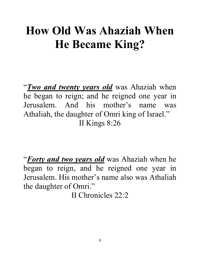## **How Old Was Ahaziah When He Became King?**

"*Two and twenty years old* was Ahaziah when he began to reign; and he reigned one year in Jerusalem. And his mother's name was Athaliah, the daughter of Omri king of Israel." II Kings 8:26

"*Forty and two years old* was Ahaziah when he began to reign, and he reigned one year in Jerusalem. His mother's name also was Athaliah the daughter of Omri."

II Chronicles 22:2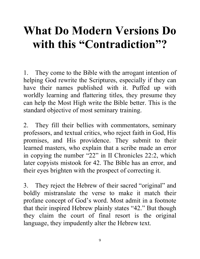## **What Do Modern Versions Do with this "Contradiction"?**

1. They come to the Bible with the arrogant intention of helping God rewrite the Scriptures, especially if they can have their names published with it. Puffed up with worldly learning and flattering titles, they presume they can help the Most High write the Bible better. This is the standard objective of most seminary training.

2. They fill their bellies with commentators, seminary professors, and textual critics, who reject faith in God, His promises, and His providence. They submit to their learned masters, who explain that a scribe made an error in copying the number "22" in II Chronicles 22:2, which later copyists mistook for 42. The Bible has an error, and their eyes brighten with the prospect of correcting it.

3. They reject the Hebrew of their sacred "original" and boldly mistranslate the verse to make it match their profane concept of God's word. Most admit in a footnote that their inspired Hebrew plainly states "42." But though they claim the court of final resort is the original language, they impudently alter the Hebrew text.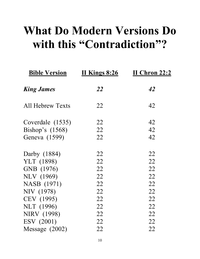#### **What Do Modern Versions Do with this "Contradiction"?**

| <b>Bible Version</b> | <b>II Kings 8:26</b> | <b>II Chron 22:2</b> |
|----------------------|----------------------|----------------------|
| <b>King James</b>    | 22                   | 42                   |
| All Hebrew Texts     | 22                   | 42                   |
| Coverdale (1535)     | 22                   | 42                   |
| Bishop's $(1568)$    | 22                   | 42                   |
| Geneva (1599)        | 22                   | 42                   |
| Darby (1884)         | 22                   | 22                   |
| YLT (1898)           | 22                   | 22                   |
| GNB (1976)           | 22                   | 22                   |
| <b>NLV</b> (1969)    | 22                   | 22                   |
| NASB (1971)          | 22                   | 22                   |
| NIV (1978)           | 22                   | 22                   |
| CEV (1995)           | 22                   | 22                   |
| NLT (1996)           | 22                   | 22                   |
| <b>NIRV</b> (1998)   | 22                   | 22                   |
| ESV (2001)           | 22                   | 22                   |
| Message $(2002)$     | 22                   | 22                   |
|                      |                      |                      |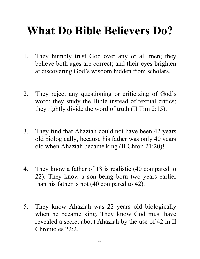## **What Do Bible Believers Do?**

- 1. They humbly trust God over any or all men; they believe both ages are correct; and their eyes brighten at discovering God's wisdom hidden from scholars.
- 2. They reject any questioning or criticizing of God's word; they study the Bible instead of textual critics; they rightly divide the word of truth (II Tim 2:15).
- 3. They find that Ahaziah could not have been 42 years old biologically, because his father was only 40 years old when Ahaziah became king (II Chron 21:20)!
- 4. They know a father of 18 is realistic (40 compared to 22). They know a son being born two years earlier than his father is not (40 compared to 42).
- 5. They know Ahaziah was 22 years old biologically when he became king. They know God must have revealed a secret about Ahaziah by the use of 42 in II Chronicles 22:2.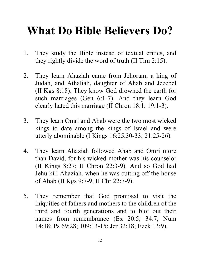#### **What Do Bible Believers Do?**

- 1. They study the Bible instead of textual critics, and they rightly divide the word of truth (II Tim 2:15).
- 2. They learn Ahaziah came from Jehoram, a king of Judah, and Athaliah, daughter of Ahab and Jezebel (II Kgs 8:18). They know God drowned the earth for such marriages (Gen 6:1-7). And they learn God clearly hated this marriage (II Chron 18:1; 19:1-3).
- 3. They learn Omri and Ahab were the two most wicked kings to date among the kings of Israel and were utterly abominable (I Kings 16:25,30-33; 21:25-26).
- 4. They learn Ahaziah followed Ahab and Omri more than David, for his wicked mother was his counselor (II Kings 8:27; II Chron 22:3-9). And so God had Jehu kill Ahaziah, when he was cutting off the house of Ahab (II Kgs 9:7-9; II Chr 22:7-9).
- 5. They remember that God promised to visit the iniquities of fathers and mothers to the children of the third and fourth generations and to blot out their names from remembrance (Ex 20:5; 34:7; Num 14:18; Ps 69:28; 109:13-15: Jer 32:18; Ezek 13:9).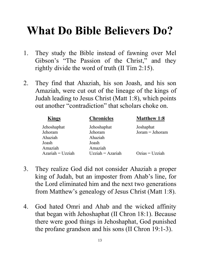### **What Do Bible Believers Do?**

- 1. They study the Bible instead of fawning over Mel Gibson's "The Passion of the Christ," and they rightly divide the word of truth (II Tim 2:15).
- 2. They find that Ahaziah, his son Joash, and his son Amaziah, were cut out of the lineage of the kings of Judah leading to Jesus Christ (Matt 1:8), which points out another "contradiction" that scholars choke on.

| <b>Kings</b>       | <b>Chronicles</b>  | <b>Matthew 1:8</b> |  |
|--------------------|--------------------|--------------------|--|
| Jehoshaphat        | Jehoshaphat        | Joshaphat          |  |
| Jehoram            | Jehoram            | $Joram = Jehoram$  |  |
| Ahaziah            | Ahaziah            |                    |  |
| Joash              | Joash              |                    |  |
| Amaziah            | Amaziah            |                    |  |
| $Azariah = Uzziah$ | $Uzziah = Azariah$ | $Ozias = Uzziah$   |  |

- 3. They realize God did not consider Ahaziah a proper king of Judah, but an imposter from Ahab's line, for the Lord eliminated him and the next two generations from Matthew's genealogy of Jesus Christ (Matt 1:8).
- 4. God hated Omri and Ahab and the wicked affinity that began with Jehoshaphat (II Chron 18:1). Because there were good things in Jehoshaphat, God punished the profane grandson and his sons (II Chron 19:1-3).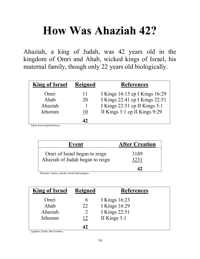## **How Was Ahaziah 42?**

Ahaziah, a king of Judah, was 42 years old in the kingdom of Omri and Ahab, wicked kings of Israel, his maternal family, though only 22 years old biologically.

| <b>King of Israel</b> | <b>Reigned</b> | <b>References</b>                 |
|-----------------------|----------------|-----------------------------------|
| Omri                  | 11             | I Kings 16:15 cp I Kings 16:29    |
| Ahab                  | 20             | I Kings 22:41 cp I Kings 22:51    |
| Ahaziah               |                | I Kings $22:51$ cp II Kings $3:1$ |
| Jehoram               | 10             | II Kings 3:1 cp II Kings 9:29     |
| .                     | 17             |                                   |

Taken from inspired history.

| Event                                                            | <b>After Creation</b> |
|------------------------------------------------------------------|-----------------------|
| Omri of Israel began to reign<br>Ahaziah of Judah began to reign | 3189<br>3231          |
|                                                                  | 47                    |

Edwards, Anstey, and the Jewish chronologers.

| <b>King of Israel</b> | <b>Reigned</b> | <b>References</b> |
|-----------------------|----------------|-------------------|
| Omri                  | 6              | I Kings 16:23     |
| Ahab                  | 22             | I Kings 16:29     |
| Ahaziah               |                | I Kings 22:51     |
| Jehoram               | 12             | II Kings $3:1$    |
| .                     |                |                   |

Lightfoot, Poole, Ben Gershon.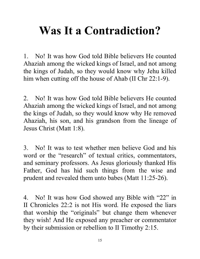## **Was It a Contradiction?**

1. No! It was how God told Bible believers He counted Ahaziah among the wicked kings of Israel, and not among the kings of Judah, so they would know why Jehu killed him when cutting off the house of Ahab (II Chr 22:1-9).

2. No! It was how God told Bible believers He counted Ahaziah among the wicked kings of Israel, and not among the kings of Judah, so they would know why He removed Ahaziah, his son, and his grandson from the lineage of Jesus Christ (Matt 1:8).

3. No! It was to test whether men believe God and his word or the "research" of textual critics, commentators, and seminary professors. As Jesus gloriously thanked His Father, God has hid such things from the wise and prudent and revealed them unto babes (Matt 11:25-26).

4. No! It was how God showed any Bible with "22" in II Chronicles 22:2 is not His word. He exposed the liars that worship the "originals" but change them whenever they wish! And He exposed any preacher or commentator by their submission or rebellion to II Timothy 2:15.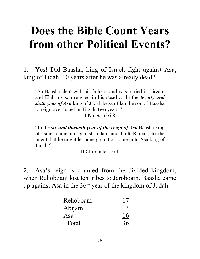#### **Does the Bible Count Years from other Political Events?**

1. Yes! Did Baasha, king of Israel, fight against Asa, king of Judah, 10 years after he was already dead?

"So Baasha slept with his fathers, and was buried in Tirzah: and Elah his son reigned in his stead…. In the *twenty and sixth year of Asa* king of Judah began Elah the son of Baasha to reign over Israel in Tirzah, two years."

I Kings 16:6-8

"In the *six and thirtieth year of the reign of Asa* Baasha king of Israel came up against Judah, and built Ramah, to the intent that he might let none go out or come in to Asa king of Judah."

II Chronicles 16:1

2. Asa's reign is counted from the divided kingdom, when Rehoboam lost ten tribes to Jeroboam. Baasha came up against Asa in the  $36<sup>th</sup>$  year of the kingdom of Judah.

| Rehoboam | 17 |
|----------|----|
| Abijam   |    |
| Asa      | 16 |
| Total    | 36 |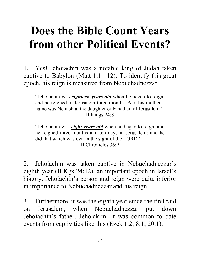## **Does the Bible Count Years from other Political Events?**

1. Yes! Jehoiachin was a notable king of Judah taken captive to Babylon (Matt 1:11-12). To identify this great epoch, his reign is measured from Nebuchadnezzar.

"Jehoiachin was *eighteen years old* when he began to reign, and he reigned in Jerusalem three months. And his mother's name was Nehushta, the daughter of Elnathan of Jerusalem." II Kings 24:8

"Jehoiachin was *eight years old* when he began to reign, and he reigned three months and ten days in Jerusalem: and he did that which was evil in the sight of the LORD." II Chronicles 36:9

2. Jehoiachin was taken captive in Nebuchadnezzar's eighth year (II Kgs 24:12), an important epoch in Israel's history. Jehoiachin's person and reign were quite inferior in importance to Nebuchadnezzar and his reign.

3. Furthermore, it was the eighth year since the first raid on Jerusalem, when Nebuchadnezzar put down Jehoiachin's father, Jehoiakim. It was common to date events from captivities like this (Ezek 1:2; 8:1; 20:1).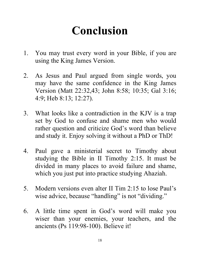## **Conclusion**

- 1. You may trust every word in your Bible, if you are using the King James Version.
- 2. As Jesus and Paul argued from single words, you may have the same confidence in the King James Version (Matt 22:32,43; John 8:58; 10:35; Gal 3:16; 4:9; Heb 8:13; 12:27).
- 3. What looks like a contradiction in the KJV is a trap set by God to confuse and shame men who would rather question and criticize God's word than believe and study it. Enjoy solving it without a PhD or ThD!
- 4. Paul gave a ministerial secret to Timothy about studying the Bible in II Timothy 2:15. It must be divided in many places to avoid failure and shame, which you just put into practice studying Ahaziah.
- 5. Modern versions even alter II Tim 2:15 to lose Paul's wise advice, because "handling" is not "dividing."
- 6. A little time spent in God's word will make you wiser than your enemies, your teachers, and the ancients (Ps 119:98-100). Believe it!